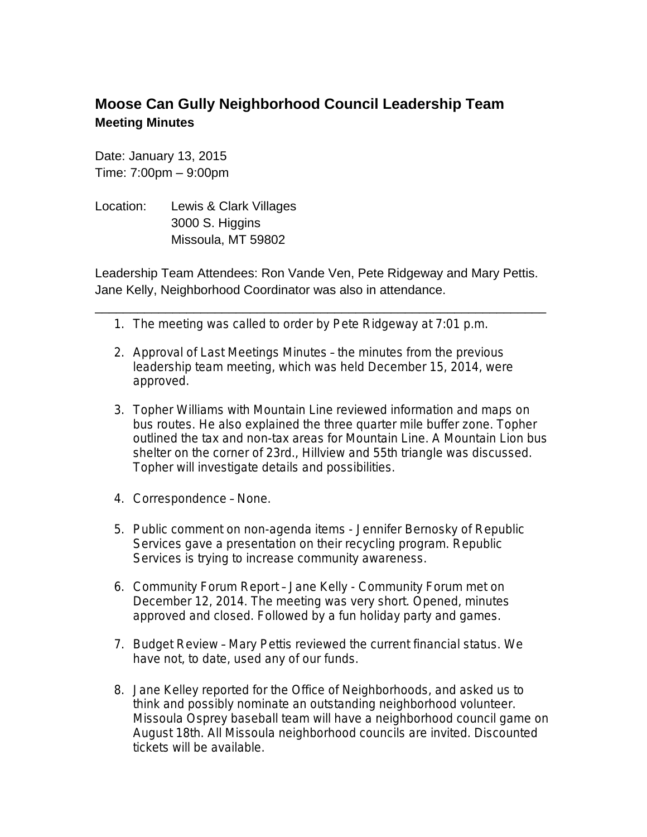## **Moose Can Gully Neighborhood Council Leadership Team Meeting Minutes**

Date: January 13, 2015 Time: 7:00pm – 9:00pm

Location: Lewis & Clark Villages 3000 S. Higgins Missoula, MT 59802

Leadership Team Attendees: Ron Vande Ven, Pete Ridgeway and Mary Pettis. Jane Kelly, Neighborhood Coordinator was also in attendance.

\_\_\_\_\_\_\_\_\_\_\_\_\_\_\_\_\_\_\_\_\_\_\_\_\_\_\_\_\_\_\_\_\_\_\_\_\_\_\_\_\_\_\_\_\_\_\_\_\_\_\_\_\_\_\_\_\_\_\_\_\_\_\_\_

- 1. The meeting was called to order by Pete Ridgeway at 7:01 p.m.
- 2. Approval of Last Meetings Minutes the minutes from the previous leadership team meeting, which was held December 15, 2014, were approved.
- 3. Topher Williams with Mountain Line reviewed information and maps on bus routes. He also explained the three quarter mile buffer zone. Topher outlined the tax and non-tax areas for Mountain Line. A Mountain Lion bus shelter on the corner of 23rd., Hillview and 55th triangle was discussed. Topher will investigate details and possibilities.
- 4. Correspondence None.
- 5. Public comment on non-agenda items Jennifer Bernosky of Republic Services gave a presentation on their recycling program. Republic Services is trying to increase community awareness.
- 6. Community Forum Report Jane Kelly Community Forum met on December 12, 2014. The meeting was very short. Opened, minutes approved and closed. Followed by a fun holiday party and games.
- 7. Budget Review Mary Pettis reviewed the current financial status. We have not, to date, used any of our funds.
- 8. Jane Kelley reported for the Office of Neighborhoods, and asked us to think and possibly nominate an outstanding neighborhood volunteer. Missoula Osprey baseball team will have a neighborhood council game on August 18th. All Missoula neighborhood councils are invited. Discounted tickets will be available.